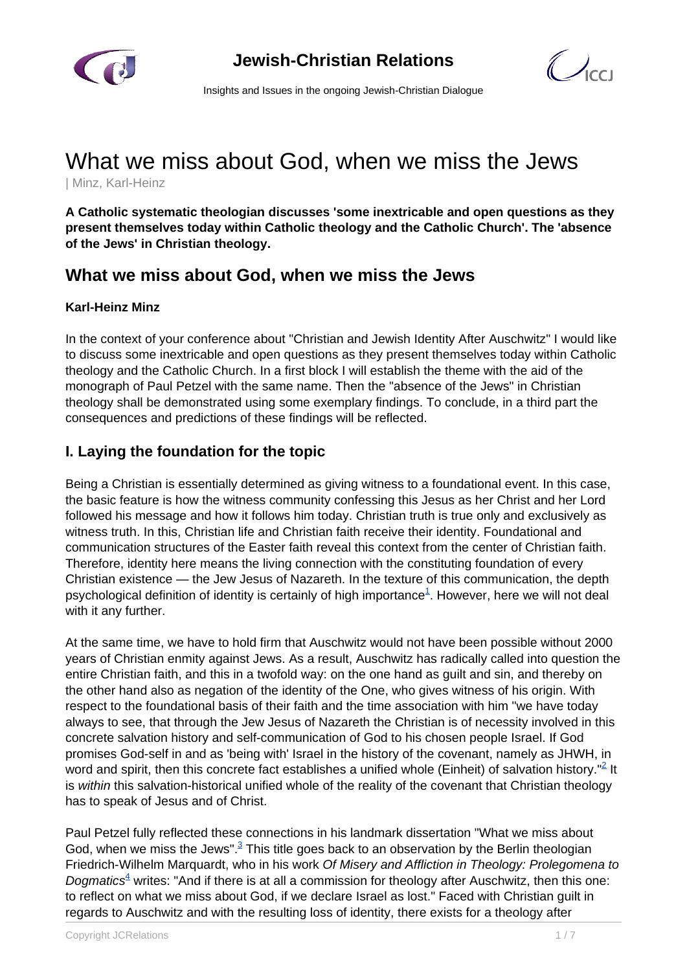

 $\bigcirc$ 

Insights and Issues in the ongoing Jewish-Christian Dialogue

# What we miss about God, when we miss the Jews

| Minz, Karl-Heinz

**A Catholic systematic theologian discusses 'some inextricable and open questions as they present themselves today within Catholic theology and the Catholic Church'. The 'absence of the Jews' in Christian theology.**

# **What we miss about God, when we miss the Jews**

## **Karl-Heinz Minz**

In the context of your conference about "Christian and Jewish Identity After Auschwitz" I would like to discuss some inextricable and open questions as they present themselves today within Catholic theology and the Catholic Church. In a first block I will establish the theme with the aid of the monograph of Paul Petzel with the same name. Then the "absence of the Jews" in Christian theology shall be demonstrated using some exemplary findings. To conclude, in a third part the consequences and predictions of these findings will be reflected.

## **I. Laying the foundation for the topic**

Being a Christian is essentially determined as giving witness to a foundational event. In this case, the basic feature is how the witness community confessing this Jesus as her Christ and her Lord followed his message and how it follows him today. Christian truth is true only and exclusively as witness truth. In this, Christian life and Christian faith receive their identity. Foundational and communication structures of the Easter faith reveal this context from the center of Christian faith. Therefore, identity here means the living connection with the constituting foundation of every Christian existence — the Jew Jesus of Nazareth. In the texture of this communication, the depth psychological definition of identity is certainly of high importance ${}^{1}$ . However, here we will not deal with it any further.

At the same time, we have to hold firm that Auschwitz would not have been possible without 2000 years of Christian enmity against Jews. As a result, Auschwitz has radically called into question the entire Christian faith, and this in a twofold way: on the one hand as guilt and sin, and thereby on the other hand also as negation of the identity of the One, who gives witness of his origin. With respect to the foundational basis of their faith and the time association with him "we have today always to see, that through the Jew Jesus of Nazareth the Christian is of necessity involved in this concrete salvation history and self-communication of God to his chosen people Israel. If God promises God-self in and as 'being with' Israel in the history of the covenant, namely as JHWH, in word and spirit, then this concrete fact establishes a unified whole (Einheit) of salvation history."<sup>2</sup> It is within this salvation-historical unified whole of the reality of the covenant that Christian theology has to speak of Jesus and of Christ.

Paul Petzel fully reflected these connections in his landmark dissertation "What we miss about God, when we miss the Jews".<sup>3</sup> This title goes back to an observation by the Berlin theologian Friedrich-Wilhelm Marquardt, who in his work Of Misery and Affliction in Theology: Prolegomena to Dogmatics<sup>4</sup> writes: "And if there is at all a commission for theology after Auschwitz, then this one: to reflect on what we miss about God, if we declare Israel as lost." Faced with Christian guilt in regards to Auschwitz and with the resulting loss of identity, there exists for a theology after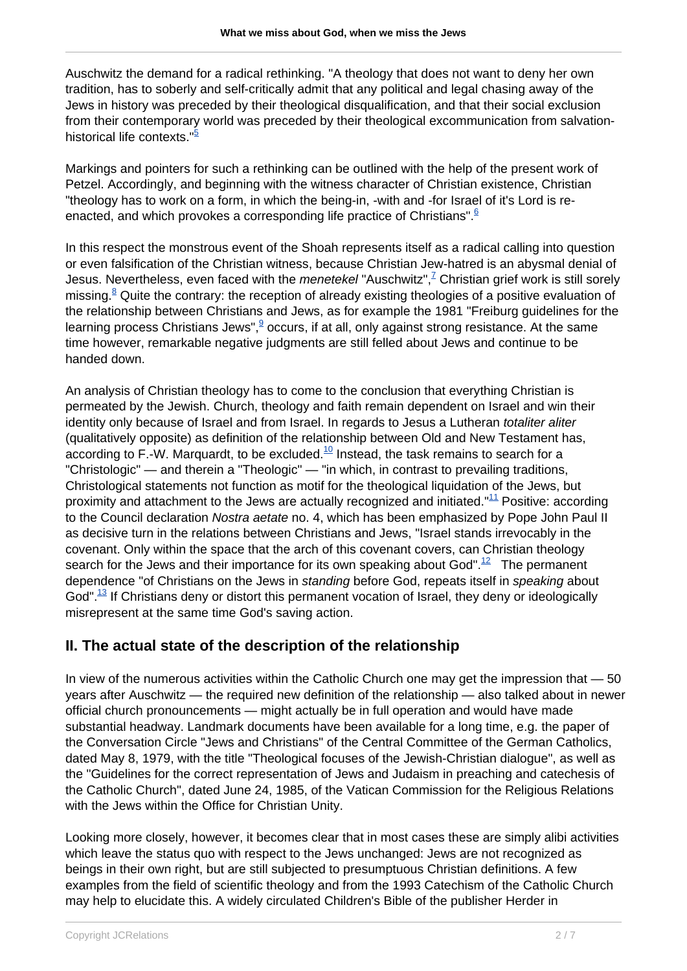Auschwitz the demand for a radical rethinking. "A theology that does not want to deny her own tradition, has to soberly and self-critically admit that any political and legal chasing away of the Jews in history was preceded by their theological disqualification, and that their social exclusion from their contemporary world was preceded by their theological excommunication from salvationhistorical life contexts.<sup>"5</sup>

Markings and pointers for such a rethinking can be outlined with the help of the present work of Petzel. Accordingly, and beginning with the witness character of Christian existence, Christian "theology has to work on a form, in which the being-in, -with and -for Israel of it's Lord is reenacted, and which provokes a corresponding life practice of Christians".<sup>6</sup>

In this respect the monstrous event of the Shoah represents itself as a radical calling into question or even falsification of the Christian witness, because Christian Jew-hatred is an abysmal denial of Jesus. Nevertheless, even faced with the *menetekel* "Auschwitz",<sup>7</sup> Christian grief work is still sorely missing.<sup>8</sup> Quite the contrary: the reception of already existing theologies of a positive evaluation of the relationship between Christians and Jews, as for example the 1981 "Freiburg guidelines for the learning process Christians Jews", $9\overline{9}$  occurs, if at all, only against strong resistance. At the same time however, remarkable negative judgments are still felled about Jews and continue to be handed down.

An analysis of Christian theology has to come to the conclusion that everything Christian is permeated by the Jewish. Church, theology and faith remain dependent on Israel and win their identity only because of Israel and from Israel. In regards to Jesus a Lutheran totaliter aliter (qualitatively opposite) as definition of the relationship between Old and New Testament has, according to F.-W. Marquardt, to be excluded. $10$  Instead, the task remains to search for a "Christologic" — and therein a "Theologic" — "in which, in contrast to prevailing traditions, Christological statements not function as motif for the theological liquidation of the Jews, but proximity and attachment to the Jews are actually recognized and initiated."<sup>11</sup> Positive: according to the Council declaration Nostra aetate no. 4, which has been emphasized by Pope John Paul II as decisive turn in the relations between Christians and Jews, "Israel stands irrevocably in the covenant. Only within the space that the arch of this covenant covers, can Christian theology search for the Jews and their importance for its own speaking about God".<sup>12</sup> The permanent dependence "of Christians on the Jews in standing before God, repeats itself in speaking about God". $^{13}$  If Christians deny or distort this permanent vocation of Israel, they deny or ideologically misrepresent at the same time God's saving action.

# **II. The actual state of the description of the relationship**

In view of the numerous activities within the Catholic Church one may get the impression that — 50 years after Auschwitz — the required new definition of the relationship — also talked about in newer official church pronouncements — might actually be in full operation and would have made substantial headway. Landmark documents have been available for a long time, e.g. the paper of the Conversation Circle "Jews and Christians" of the Central Committee of the German Catholics, dated May 8, 1979, with the title "Theological focuses of the Jewish-Christian dialogue", as well as the "Guidelines for the correct representation of Jews and Judaism in preaching and catechesis of the Catholic Church", dated June 24, 1985, of the Vatican Commission for the Religious Relations with the Jews within the Office for Christian Unity.

Looking more closely, however, it becomes clear that in most cases these are simply alibi activities which leave the status quo with respect to the Jews unchanged: Jews are not recognized as beings in their own right, but are still subjected to presumptuous Christian definitions. A few examples from the field of scientific theology and from the 1993 Catechism of the Catholic Church may help to elucidate this. A widely circulated Children's Bible of the publisher Herder in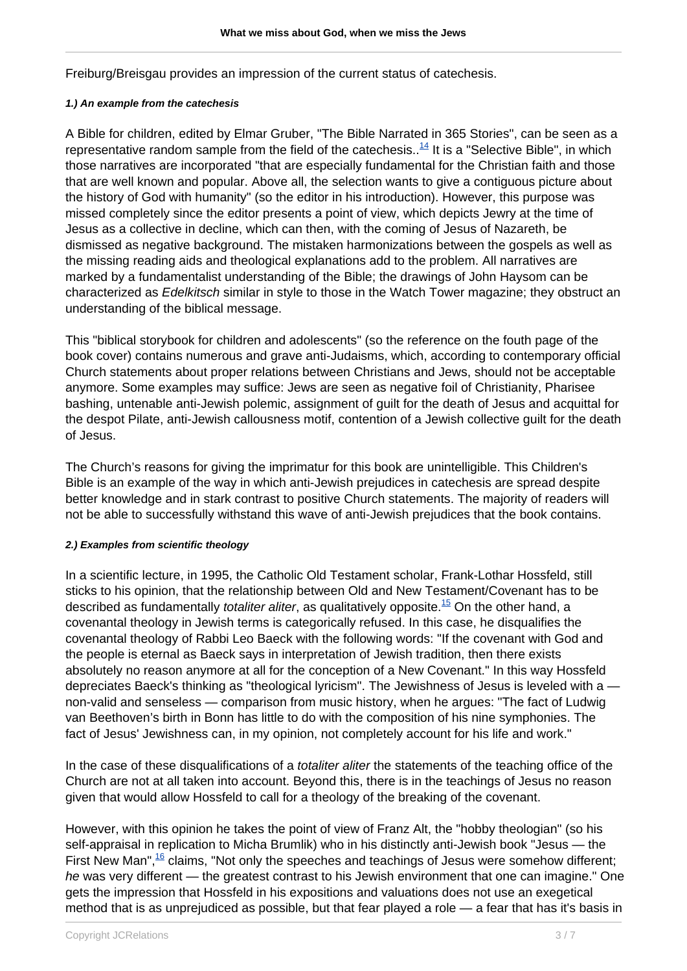Freiburg/Breisgau provides an impression of the current status of catechesis.

#### **1.) An example from the catechesis**

A Bible for children, edited by Elmar Gruber, "The Bible Narrated in 365 Stories", can be seen as a representative random sample from the field of the catechesis..<sup>14</sup> It is a "Selective Bible", in which those narratives are incorporated "that are especially fundamental for the Christian faith and those that are well known and popular. Above all, the selection wants to give a contiguous picture about the history of God with humanity" (so the editor in his introduction). However, this purpose was missed completely since the editor presents a point of view, which depicts Jewry at the time of Jesus as a collective in decline, which can then, with the coming of Jesus of Nazareth, be dismissed as negative background. The mistaken harmonizations between the gospels as well as the missing reading aids and theological explanations add to the problem. All narratives are marked by a fundamentalist understanding of the Bible; the drawings of John Haysom can be characterized as Edelkitsch similar in style to those in the Watch Tower magazine; they obstruct an understanding of the biblical message.

This "biblical storybook for children and adolescents" (so the reference on the fouth page of the book cover) contains numerous and grave anti-Judaisms, which, according to contemporary official Church statements about proper relations between Christians and Jews, should not be acceptable anymore. Some examples may suffice: Jews are seen as negative foil of Christianity, Pharisee bashing, untenable anti-Jewish polemic, assignment of guilt for the death of Jesus and acquittal for the despot Pilate, anti-Jewish callousness motif, contention of a Jewish collective guilt for the death of Jesus.

The Church's reasons for giving the imprimatur for this book are unintelligible. This Children's Bible is an example of the way in which anti-Jewish prejudices in catechesis are spread despite better knowledge and in stark contrast to positive Church statements. The majority of readers will not be able to successfully withstand this wave of anti-Jewish prejudices that the book contains.

## **2.) Examples from scientific theology**

In a scientific lecture, in 1995, the Catholic Old Testament scholar, Frank-Lothar Hossfeld, still sticks to his opinion, that the relationship between Old and New Testament/Covenant has to be described as fundamentally *totaliter aliter*, as qualitatively opposite.<sup>15</sup> On the other hand, a covenantal theology in Jewish terms is categorically refused. In this case, he disqualifies the covenantal theology of Rabbi Leo Baeck with the following words: "If the covenant with God and the people is eternal as Baeck says in interpretation of Jewish tradition, then there exists absolutely no reason anymore at all for the conception of a New Covenant." In this way Hossfeld depreciates Baeck's thinking as "theological lyricism". The Jewishness of Jesus is leveled with a non-valid and senseless — comparison from music history, when he argues: "The fact of Ludwig van Beethoven's birth in Bonn has little to do with the composition of his nine symphonies. The fact of Jesus' Jewishness can, in my opinion, not completely account for his life and work."

In the case of these disqualifications of a *totaliter aliter* the statements of the teaching office of the Church are not at all taken into account. Beyond this, there is in the teachings of Jesus no reason given that would allow Hossfeld to call for a theology of the breaking of the covenant.

However, with this opinion he takes the point of view of Franz Alt, the "hobby theologian" (so his self-appraisal in replication to Micha Brumlik) who in his distinctly anti-Jewish book "Jesus — the First New Man", $\frac{16}{16}$  claims, "Not only the speeches and teachings of Jesus were somehow different; he was very different — the greatest contrast to his Jewish environment that one can imagine." One gets the impression that Hossfeld in his expositions and valuations does not use an exegetical method that is as unprejudiced as possible, but that fear played a role — a fear that has it's basis in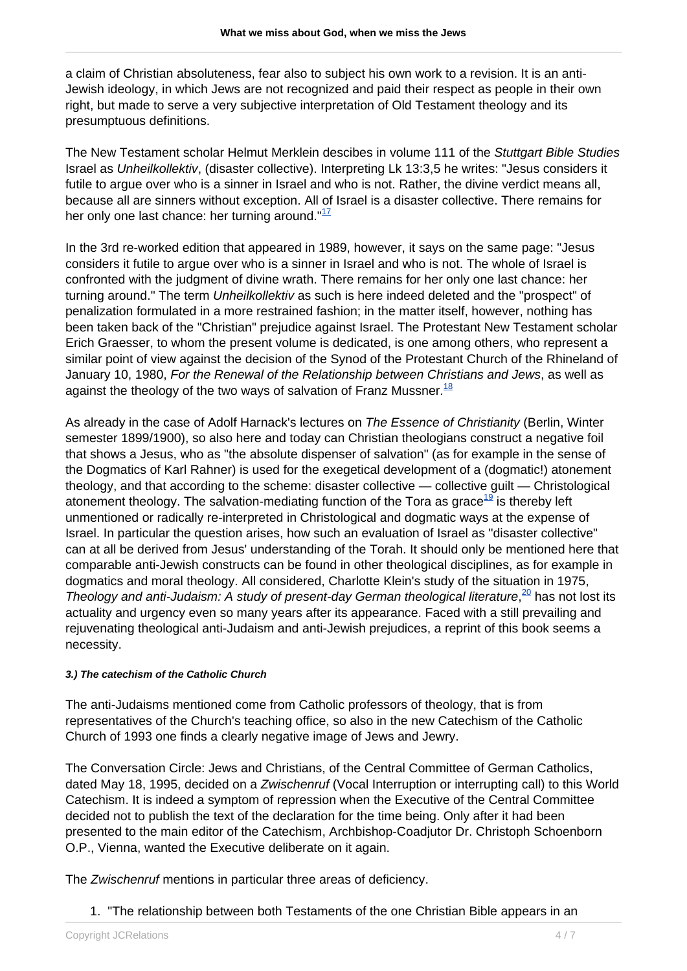a claim of Christian absoluteness, fear also to subject his own work to a revision. It is an anti-Jewish ideology, in which Jews are not recognized and paid their respect as people in their own right, but made to serve a very subjective interpretation of Old Testament theology and its presumptuous definitions.

The New Testament scholar Helmut Merklein descibes in volume 111 of the Stuttgart Bible Studies Israel as Unheilkollektiv, (disaster collective). Interpreting Lk 13:3,5 he writes: "Jesus considers it futile to argue over who is a sinner in Israel and who is not. Rather, the divine verdict means all, because all are sinners without exception. All of Israel is a disaster collective. There remains for her only one last chance: her turning around. $117$ 

In the 3rd re-worked edition that appeared in 1989, however, it says on the same page: "Jesus considers it futile to argue over who is a sinner in Israel and who is not. The whole of Israel is confronted with the judgment of divine wrath. There remains for her only one last chance: her turning around." The term Unheilkollektiv as such is here indeed deleted and the "prospect" of penalization formulated in a more restrained fashion; in the matter itself, however, nothing has been taken back of the "Christian" prejudice against Israel. The Protestant New Testament scholar Erich Graesser, to whom the present volume is dedicated, is one among others, who represent a similar point of view against the decision of the Synod of the Protestant Church of the Rhineland of January 10, 1980, For the Renewal of the Relationship between Christians and Jews, as well as against the theology of the two ways of salvation of Franz Mussner.  $^{18}$ 

As already in the case of Adolf Harnack's lectures on The Essence of Christianity (Berlin, Winter semester 1899/1900), so also here and today can Christian theologians construct a negative foil that shows a Jesus, who as "the absolute dispenser of salvation" (as for example in the sense of the Dogmatics of Karl Rahner) is used for the exegetical development of a (dogmatic!) atonement theology, and that according to the scheme: disaster collective — collective guilt — Christological atonement theology. The salvation-mediating function of the Tora as grace $19$  is thereby left unmentioned or radically re-interpreted in Christological and dogmatic ways at the expense of Israel. In particular the question arises, how such an evaluation of Israel as "disaster collective" can at all be derived from Jesus' understanding of the Torah. It should only be mentioned here that comparable anti-Jewish constructs can be found in other theological disciplines, as for example in dogmatics and moral theology. All considered, Charlotte Klein's study of the situation in 1975, Theology and anti-Judaism: A study of present-day German theological literature,<sup>20</sup> has not lost its actuality and urgency even so many years after its appearance. Faced with a still prevailing and rejuvenating theological anti-Judaism and anti-Jewish prejudices, a reprint of this book seems a necessity.

## **3.) The catechism of the Catholic Church**

The anti-Judaisms mentioned come from Catholic professors of theology, that is from representatives of the Church's teaching office, so also in the new Catechism of the Catholic Church of 1993 one finds a clearly negative image of Jews and Jewry.

The Conversation Circle: Jews and Christians, of the Central Committee of German Catholics, dated May 18, 1995, decided on a Zwischenruf (Vocal Interruption or interrupting call) to this World Catechism. It is indeed a symptom of repression when the Executive of the Central Committee decided not to publish the text of the declaration for the time being. Only after it had been presented to the main editor of the Catechism, Archbishop-Coadjutor Dr. Christoph Schoenborn O.P., Vienna, wanted the Executive deliberate on it again.

The Zwischenruf mentions in particular three areas of deficiency.

1. "The relationship between both Testaments of the one Christian Bible appears in an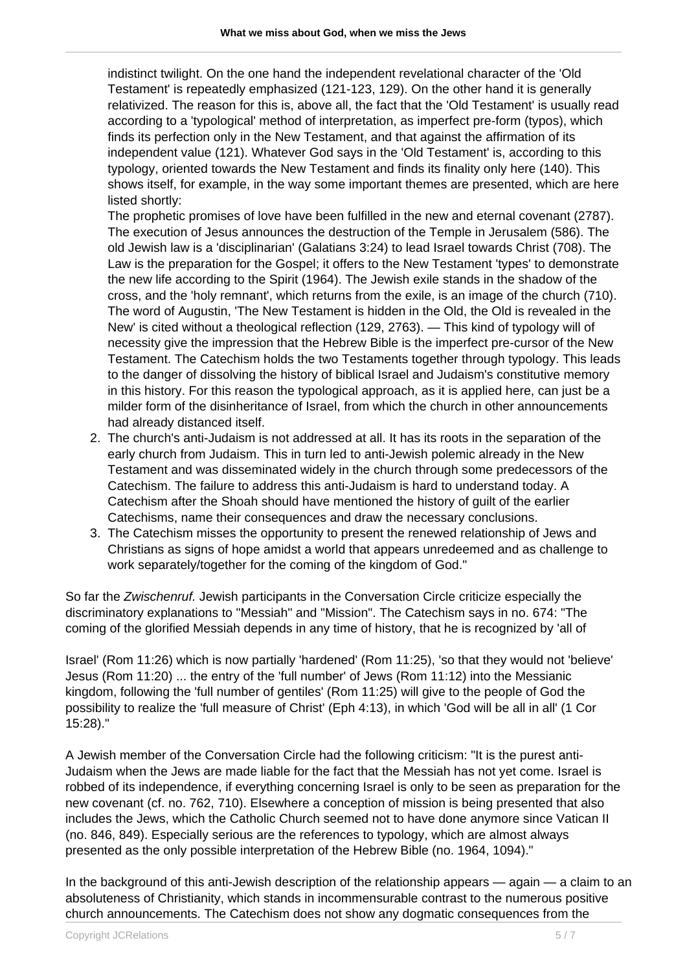indistinct twilight. On the one hand the independent revelational character of the 'Old Testament' is repeatedly emphasized (121-123, 129). On the other hand it is generally relativized. The reason for this is, above all, the fact that the 'Old Testament' is usually read according to a 'typological' method of interpretation, as imperfect pre-form (typos), which finds its perfection only in the New Testament, and that against the affirmation of its independent value (121). Whatever God says in the 'Old Testament' is, according to this typology, oriented towards the New Testament and finds its finality only here (140). This shows itself, for example, in the way some important themes are presented, which are here listed shortly:

The prophetic promises of love have been fulfilled in the new and eternal covenant (2787). The execution of Jesus announces the destruction of the Temple in Jerusalem (586). The old Jewish law is a 'disciplinarian' (Galatians 3:24) to lead Israel towards Christ (708). The Law is the preparation for the Gospel; it offers to the New Testament 'types' to demonstrate the new life according to the Spirit (1964). The Jewish exile stands in the shadow of the cross, and the 'holy remnant', which returns from the exile, is an image of the church (710). The word of Augustin, 'The New Testament is hidden in the Old, the Old is revealed in the New' is cited without a theological reflection (129, 2763). — This kind of typology will of necessity give the impression that the Hebrew Bible is the imperfect pre-cursor of the New Testament. The Catechism holds the two Testaments together through typology. This leads to the danger of dissolving the history of biblical Israel and Judaism's constitutive memory in this history. For this reason the typological approach, as it is applied here, can just be a milder form of the disinheritance of Israel, from which the church in other announcements had already distanced itself.

- 2. The church's anti-Judaism is not addressed at all. It has its roots in the separation of the early church from Judaism. This in turn led to anti-Jewish polemic already in the New Testament and was disseminated widely in the church through some predecessors of the Catechism. The failure to address this anti-Judaism is hard to understand today. A Catechism after the Shoah should have mentioned the history of guilt of the earlier Catechisms, name their consequences and draw the necessary conclusions.
- 3. The Catechism misses the opportunity to present the renewed relationship of Jews and Christians as signs of hope amidst a world that appears unredeemed and as challenge to work separately/together for the coming of the kingdom of God."

So far the Zwischenruf. Jewish participants in the Conversation Circle criticize especially the discriminatory explanations to "Messiah" and "Mission". The Catechism says in no. 674: "The coming of the glorified Messiah depends in any time of history, that he is recognized by 'all of

Israel' (Rom 11:26) which is now partially 'hardened' (Rom 11:25), 'so that they would not 'believe' Jesus (Rom 11:20) ... the entry of the 'full number' of Jews (Rom 11:12) into the Messianic kingdom, following the 'full number of gentiles' (Rom 11:25) will give to the people of God the possibility to realize the 'full measure of Christ' (Eph 4:13), in which 'God will be all in all' (1 Cor 15:28)."

A Jewish member of the Conversation Circle had the following criticism: "It is the purest anti-Judaism when the Jews are made liable for the fact that the Messiah has not yet come. Israel is robbed of its independence, if everything concerning Israel is only to be seen as preparation for the new covenant (cf. no. 762, 710). Elsewhere a conception of mission is being presented that also includes the Jews, which the Catholic Church seemed not to have done anymore since Vatican II (no. 846, 849). Especially serious are the references to typology, which are almost always presented as the only possible interpretation of the Hebrew Bible (no. 1964, 1094)."

In the background of this anti-Jewish description of the relationship appears — again — a claim to an absoluteness of Christianity, which stands in incommensurable contrast to the numerous positive church announcements. The Catechism does not show any dogmatic consequences from the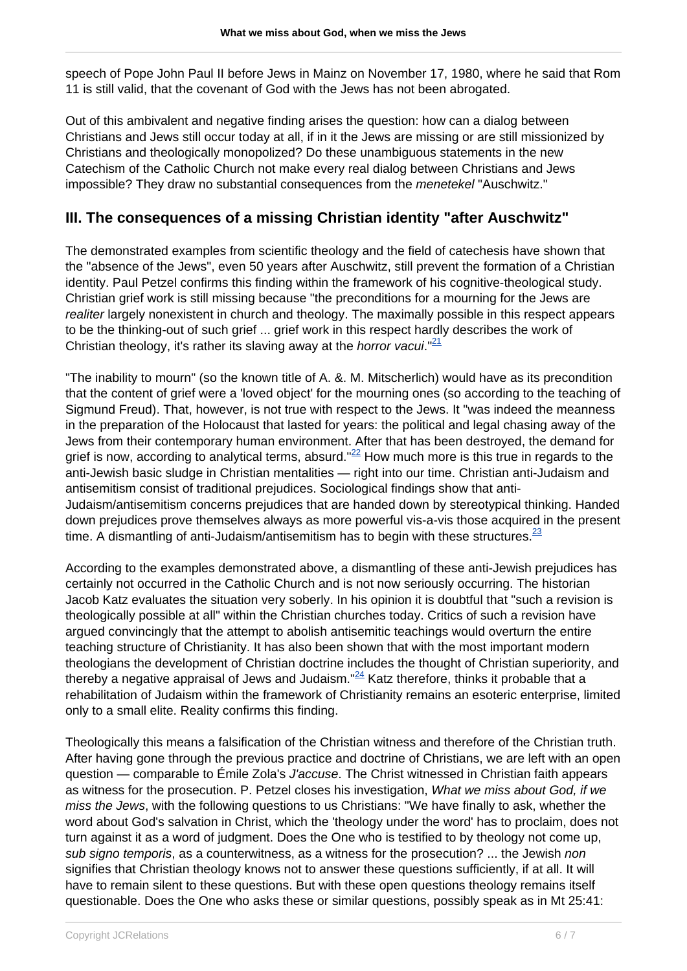speech of Pope John Paul II before Jews in Mainz on November 17, 1980, where he said that Rom 11 is still valid, that the covenant of God with the Jews has not been abrogated.

Out of this ambivalent and negative finding arises the question: how can a dialog between Christians and Jews still occur today at all, if in it the Jews are missing or are still missionized by Christians and theologically monopolized? Do these unambiguous statements in the new Catechism of the Catholic Church not make every real dialog between Christians and Jews impossible? They draw no substantial consequences from the menetekel "Auschwitz."

## **III. The consequences of a missing Christian identity "after Auschwitz"**

The demonstrated examples from scientific theology and the field of catechesis have shown that the "absence of the Jews", even 50 years after Auschwitz, still prevent the formation of a Christian identity. Paul Petzel confirms this finding within the framework of his cognitive-theological study. Christian grief work is still missing because "the preconditions for a mourning for the Jews are realiter largely nonexistent in church and theology. The maximally possible in this respect appears to be the thinking-out of such grief ... grief work in this respect hardly describes the work of Christian theology, it's rather its slaving away at the *horror vacui.*"<sup>21</sup>

"The inability to mourn" (so the known title of A. &. M. Mitscherlich) would have as its precondition that the content of grief were a 'loved object' for the mourning ones (so according to the teaching of Sigmund Freud). That, however, is not true with respect to the Jews. It "was indeed the meanness in the preparation of the Holocaust that lasted for years: the political and legal chasing away of the Jews from their contemporary human environment. After that has been destroyed, the demand for grief is now, according to analytical terms, absurd." $^{22}$  How much more is this true in regards to the anti-Jewish basic sludge in Christian mentalities — right into our time. Christian anti-Judaism and antisemitism consist of traditional prejudices. Sociological findings show that anti-Judaism/antisemitism concerns prejudices that are handed down by stereotypical thinking. Handed down prejudices prove themselves always as more powerful vis-a-vis those acquired in the present time. A dismantling of anti-Judaism/antisemitism has to begin with these structures. $\frac{23}{2}$ 

According to the examples demonstrated above, a dismantling of these anti-Jewish prejudices has certainly not occurred in the Catholic Church and is not now seriously occurring. The historian Jacob Katz evaluates the situation very soberly. In his opinion it is doubtful that "such a revision is theologically possible at all" within the Christian churches today. Critics of such a revision have argued convincingly that the attempt to abolish antisemitic teachings would overturn the entire teaching structure of Christianity. It has also been shown that with the most important modern theologians the development of Christian doctrine includes the thought of Christian superiority, and thereby a negative appraisal of Jews and Judaism."<sup>24</sup> Katz therefore, thinks it probable that a rehabilitation of Judaism within the framework of Christianity remains an esoteric enterprise, limited only to a small elite. Reality confirms this finding.

Theologically this means a falsification of the Christian witness and therefore of the Christian truth. After having gone through the previous practice and doctrine of Christians, we are left with an open question — comparable to Émile Zola's *J'accuse*. The Christ witnessed in Christian faith appears as witness for the prosecution. P. Petzel closes his investigation, What we miss about God, if we miss the Jews, with the following questions to us Christians: "We have finally to ask, whether the word about God's salvation in Christ, which the 'theology under the word' has to proclaim, does not turn against it as a word of judgment. Does the One who is testified to by theology not come up, sub signo temporis, as a counterwitness, as a witness for the prosecution? ... the Jewish non signifies that Christian theology knows not to answer these questions sufficiently, if at all. It will have to remain silent to these questions. But with these open questions theology remains itself questionable. Does the One who asks these or similar questions, possibly speak as in Mt 25:41: